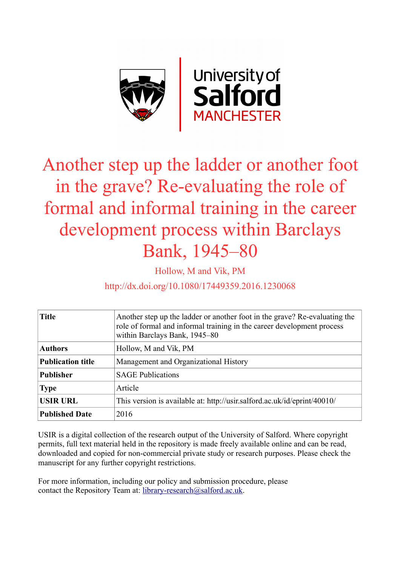

# Another step up the ladder or another foot in the grave? Re-evaluating the role of formal and informal training in the career development process within Barclays Bank, 1945–80

Hollow, M and Vik, PM

http://dx.doi.org/10.1080/17449359.2016.1230068

| <b>Title</b>             | Another step up the ladder or another foot in the grave? Re-evaluating the<br>role of formal and informal training in the career development process<br>within Barclays Bank, 1945–80 |
|--------------------------|---------------------------------------------------------------------------------------------------------------------------------------------------------------------------------------|
| <b>Authors</b>           | Hollow, M and Vik, PM                                                                                                                                                                 |
| <b>Publication title</b> | Management and Organizational History                                                                                                                                                 |
| <b>Publisher</b>         | <b>SAGE Publications</b>                                                                                                                                                              |
| <b>Type</b>              | Article                                                                                                                                                                               |
| <b>USIR URL</b>          | This version is available at: http://usir.salford.ac.uk/id/eprint/40010/                                                                                                              |
| <b>Published Date</b>    | 2016                                                                                                                                                                                  |

USIR is a digital collection of the research output of the University of Salford. Where copyright permits, full text material held in the repository is made freely available online and can be read, downloaded and copied for non-commercial private study or research purposes. Please check the manuscript for any further copyright restrictions.

For more information, including our policy and submission procedure, please contact the Repository Team at: [library-research@salford.ac.uk.](mailto:library-research@salford.ac.uk)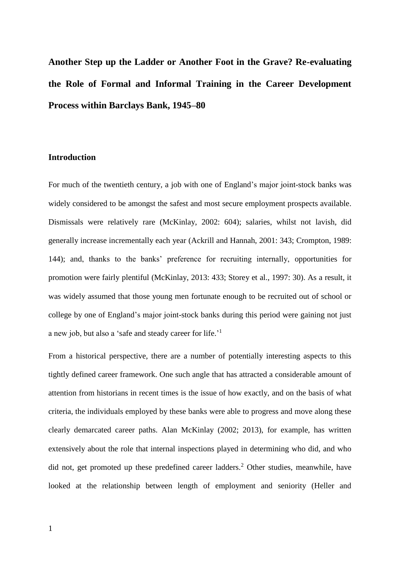**Another Step up the Ladder or Another Foot in the Grave? Re-evaluating the Role of Formal and Informal Training in the Career Development Process within Barclays Bank, 1945–80**

# **Introduction**

For much of the twentieth century, a job with one of England's major joint-stock banks was widely considered to be amongst the safest and most secure employment prospects available. Dismissals were relatively rare (McKinlay, 2002: 604); salaries, whilst not lavish, did generally increase incrementally each year (Ackrill and Hannah, 2001: 343; Crompton, 1989: 144); and, thanks to the banks' preference for recruiting internally, opportunities for promotion were fairly plentiful (McKinlay, 2013: 433; Storey et al., 1997: 30). As a result, it was widely assumed that those young men fortunate enough to be recruited out of school or college by one of England's major joint-stock banks during this period were gaining not just a new job, but also a 'safe and steady career for life.'<sup>1</sup>

From a historical perspective, there are a number of potentially interesting aspects to this tightly defined career framework. One such angle that has attracted a considerable amount of attention from historians in recent times is the issue of how exactly, and on the basis of what criteria, the individuals employed by these banks were able to progress and move along these clearly demarcated career paths. Alan McKinlay (2002; 2013), for example, has written extensively about the role that internal inspections played in determining who did, and who did not, get promoted up these predefined career ladders.<sup>2</sup> Other studies, meanwhile, have looked at the relationship between length of employment and seniority (Heller and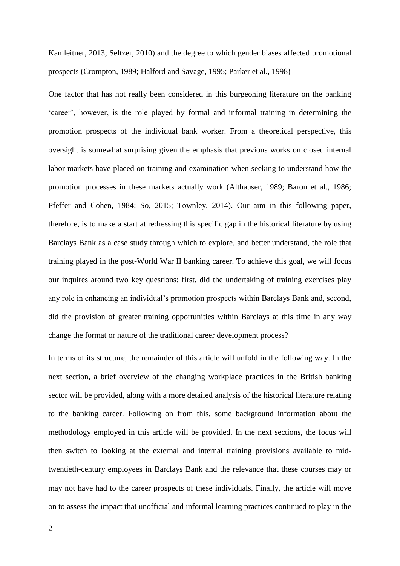Kamleitner, 2013; Seltzer, 2010) and the degree to which gender biases affected promotional prospects (Crompton, 1989; Halford and Savage, 1995; Parker et al., 1998)

One factor that has not really been considered in this burgeoning literature on the banking 'career', however, is the role played by formal and informal training in determining the promotion prospects of the individual bank worker. From a theoretical perspective, this oversight is somewhat surprising given the emphasis that previous works on closed internal labor markets have placed on training and examination when seeking to understand how the promotion processes in these markets actually work (Althauser, 1989; Baron et al., 1986; Pfeffer and Cohen, 1984; So, 2015; Townley, 2014). Our aim in this following paper, therefore, is to make a start at redressing this specific gap in the historical literature by using Barclays Bank as a case study through which to explore, and better understand, the role that training played in the post-World War II banking career. To achieve this goal, we will focus our inquires around two key questions: first, did the undertaking of training exercises play any role in enhancing an individual's promotion prospects within Barclays Bank and, second, did the provision of greater training opportunities within Barclays at this time in any way change the format or nature of the traditional career development process?

In terms of its structure, the remainder of this article will unfold in the following way. In the next section, a brief overview of the changing workplace practices in the British banking sector will be provided, along with a more detailed analysis of the historical literature relating to the banking career. Following on from this, some background information about the methodology employed in this article will be provided. In the next sections, the focus will then switch to looking at the external and internal training provisions available to midtwentieth-century employees in Barclays Bank and the relevance that these courses may or may not have had to the career prospects of these individuals. Finally, the article will move on to assess the impact that unofficial and informal learning practices continued to play in the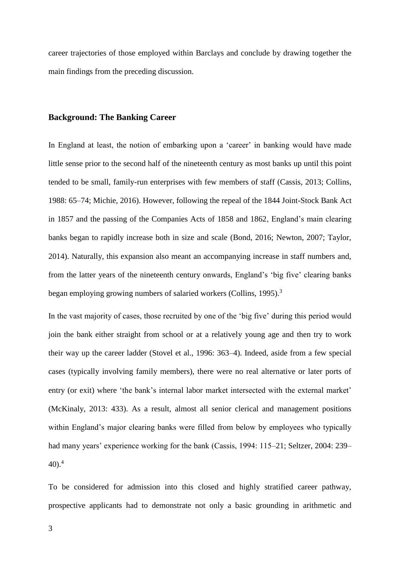career trajectories of those employed within Barclays and conclude by drawing together the main findings from the preceding discussion.

## **Background: The Banking Career**

In England at least, the notion of embarking upon a 'career' in banking would have made little sense prior to the second half of the nineteenth century as most banks up until this point tended to be small, family-run enterprises with few members of staff (Cassis, 2013; Collins, 1988: 65–74; Michie, 2016). However, following the repeal of the 1844 Joint-Stock Bank Act in 1857 and the passing of the Companies Acts of 1858 and 1862, England's main clearing banks began to rapidly increase both in size and scale (Bond, 2016; Newton, 2007; Taylor, 2014). Naturally, this expansion also meant an accompanying increase in staff numbers and, from the latter years of the nineteenth century onwards, England's 'big five' clearing banks began employing growing numbers of salaried workers (Collins, 1995).<sup>3</sup>

In the vast majority of cases, those recruited by one of the 'big five' during this period would join the bank either straight from school or at a relatively young age and then try to work their way up the career ladder (Stovel et al., 1996: 363–4). Indeed, aside from a few special cases (typically involving family members), there were no real alternative or later ports of entry (or exit) where 'the bank's internal labor market intersected with the external market' (McKinaly, 2013: 433). As a result, almost all senior clerical and management positions within England's major clearing banks were filled from below by employees who typically had many years' experience working for the bank (Cassis, 1994: 115–21; Seltzer, 2004: 239–  $40$ ).<sup>4</sup>

To be considered for admission into this closed and highly stratified career pathway, prospective applicants had to demonstrate not only a basic grounding in arithmetic and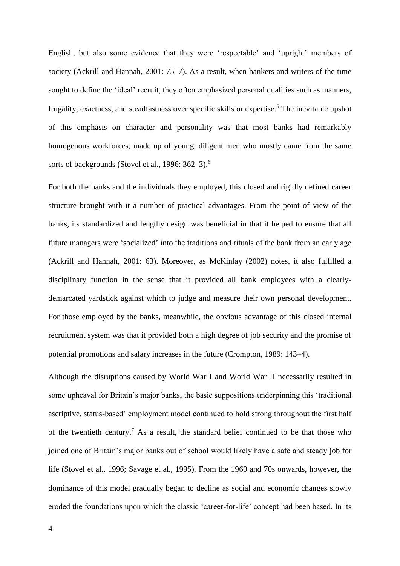English, but also some evidence that they were 'respectable' and 'upright' members of society (Ackrill and Hannah, 2001: 75–7). As a result, when bankers and writers of the time sought to define the 'ideal' recruit, they often emphasized personal qualities such as manners, frugality, exactness, and steadfastness over specific skills or expertise.<sup>5</sup> The inevitable upshot of this emphasis on character and personality was that most banks had remarkably homogenous workforces, made up of young, diligent men who mostly came from the same sorts of backgrounds (Stovel et al., 1996: 362–3).<sup>6</sup>

For both the banks and the individuals they employed, this closed and rigidly defined career structure brought with it a number of practical advantages. From the point of view of the banks, its standardized and lengthy design was beneficial in that it helped to ensure that all future managers were 'socialized' into the traditions and rituals of the bank from an early age (Ackrill and Hannah, 2001: 63). Moreover, as McKinlay (2002) notes, it also fulfilled a disciplinary function in the sense that it provided all bank employees with a clearlydemarcated yardstick against which to judge and measure their own personal development. For those employed by the banks, meanwhile, the obvious advantage of this closed internal recruitment system was that it provided both a high degree of job security and the promise of potential promotions and salary increases in the future (Crompton, 1989: 143–4).

Although the disruptions caused by World War I and World War II necessarily resulted in some upheaval for Britain's major banks, the basic suppositions underpinning this 'traditional ascriptive, status-based' employment model continued to hold strong throughout the first half of the twentieth century.<sup>7</sup> As a result, the standard belief continued to be that those who joined one of Britain's major banks out of school would likely have a safe and steady job for life (Stovel et al., 1996; Savage et al., 1995). From the 1960 and 70s onwards, however, the dominance of this model gradually began to decline as social and economic changes slowly eroded the foundations upon which the classic 'career-for-life' concept had been based. In its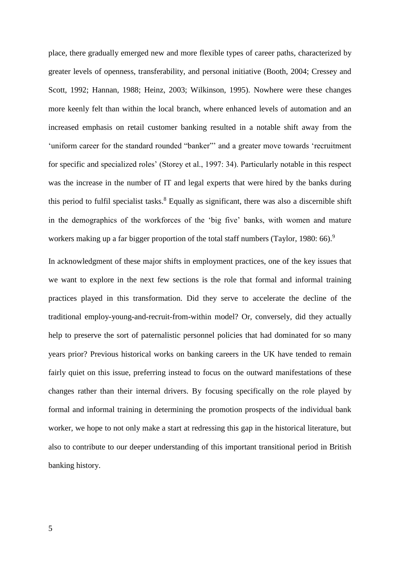place, there gradually emerged new and more flexible types of career paths, characterized by greater levels of openness, transferability, and personal initiative (Booth, 2004; Cressey and Scott, 1992; Hannan, 1988; Heinz, 2003; Wilkinson, 1995). Nowhere were these changes more keenly felt than within the local branch, where enhanced levels of automation and an increased emphasis on retail customer banking resulted in a notable shift away from the 'uniform career for the standard rounded "banker"' and a greater move towards 'recruitment for specific and specialized roles' (Storey et al., 1997: 34). Particularly notable in this respect was the increase in the number of IT and legal experts that were hired by the banks during this period to fulfil specialist tasks.<sup>8</sup> Equally as significant, there was also a discernible shift in the demographics of the workforces of the 'big five' banks, with women and mature workers making up a far bigger proportion of the total staff numbers (Taylor, 1980: 66).<sup>9</sup>

In acknowledgment of these major shifts in employment practices, one of the key issues that we want to explore in the next few sections is the role that formal and informal training practices played in this transformation. Did they serve to accelerate the decline of the traditional employ-young-and-recruit-from-within model? Or, conversely, did they actually help to preserve the sort of paternalistic personnel policies that had dominated for so many years prior? Previous historical works on banking careers in the UK have tended to remain fairly quiet on this issue, preferring instead to focus on the outward manifestations of these changes rather than their internal drivers. By focusing specifically on the role played by formal and informal training in determining the promotion prospects of the individual bank worker, we hope to not only make a start at redressing this gap in the historical literature, but also to contribute to our deeper understanding of this important transitional period in British banking history.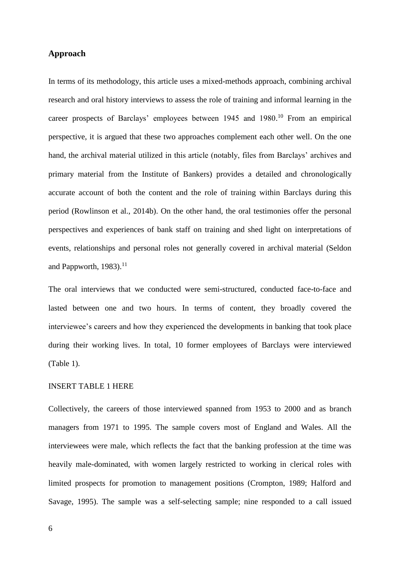# **Approach**

In terms of its methodology, this article uses a mixed-methods approach, combining archival research and oral history interviews to assess the role of training and informal learning in the career prospects of Barclays' employees between 1945 and 1980. <sup>10</sup> From an empirical perspective, it is argued that these two approaches complement each other well. On the one hand, the archival material utilized in this article (notably, files from Barclays' archives and primary material from the Institute of Bankers) provides a detailed and chronologically accurate account of both the content and the role of training within Barclays during this period (Rowlinson et al., 2014b). On the other hand, the oral testimonies offer the personal perspectives and experiences of bank staff on training and shed light on interpretations of events, relationships and personal roles not generally covered in archival material (Seldon and Pappworth,  $1983$ ).<sup>11</sup>

The oral interviews that we conducted were semi-structured, conducted face-to-face and lasted between one and two hours. In terms of content, they broadly covered the interviewee's careers and how they experienced the developments in banking that took place during their working lives. In total, 10 former employees of Barclays were interviewed (Table 1).

## INSERT TABLE 1 HERE

Collectively, the careers of those interviewed spanned from 1953 to 2000 and as branch managers from 1971 to 1995. The sample covers most of England and Wales. All the interviewees were male, which reflects the fact that the banking profession at the time was heavily male-dominated, with women largely restricted to working in clerical roles with limited prospects for promotion to management positions (Crompton, 1989; Halford and Savage, 1995). The sample was a self-selecting sample; nine responded to a call issued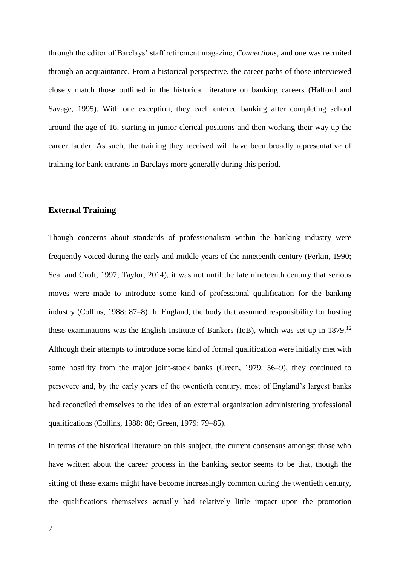through the editor of Barclays' staff retirement magazine, *Connections*, and one was recruited through an acquaintance. From a historical perspective, the career paths of those interviewed closely match those outlined in the historical literature on banking careers (Halford and Savage, 1995). With one exception, they each entered banking after completing school around the age of 16, starting in junior clerical positions and then working their way up the career ladder. As such, the training they received will have been broadly representative of training for bank entrants in Barclays more generally during this period.

## **External Training**

Though concerns about standards of professionalism within the banking industry were frequently voiced during the early and middle years of the nineteenth century (Perkin, 1990; Seal and Croft, 1997; Taylor, 2014), it was not until the late nineteenth century that serious moves were made to introduce some kind of professional qualification for the banking industry (Collins, 1988: 87–8). In England, the body that assumed responsibility for hosting these examinations was the English Institute of Bankers (IoB), which was set up in  $1879$ <sup>12</sup> Although their attempts to introduce some kind of formal qualification were initially met with some hostility from the major joint-stock banks (Green, 1979: 56–9), they continued to persevere and, by the early years of the twentieth century, most of England's largest banks had reconciled themselves to the idea of an external organization administering professional qualifications (Collins, 1988: 88; Green, 1979: 79–85).

In terms of the historical literature on this subject, the current consensus amongst those who have written about the career process in the banking sector seems to be that, though the sitting of these exams might have become increasingly common during the twentieth century, the qualifications themselves actually had relatively little impact upon the promotion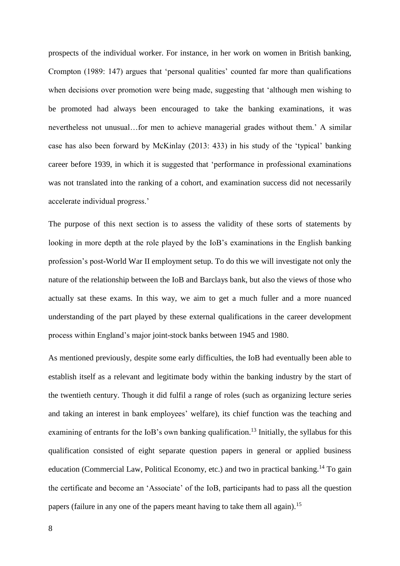prospects of the individual worker. For instance, in her work on women in British banking, Crompton (1989: 147) argues that 'personal qualities' counted far more than qualifications when decisions over promotion were being made, suggesting that 'although men wishing to be promoted had always been encouraged to take the banking examinations, it was nevertheless not unusual…for men to achieve managerial grades without them.' A similar case has also been forward by McKinlay (2013: 433) in his study of the 'typical' banking career before 1939, in which it is suggested that 'performance in professional examinations was not translated into the ranking of a cohort, and examination success did not necessarily accelerate individual progress.'

The purpose of this next section is to assess the validity of these sorts of statements by looking in more depth at the role played by the IoB's examinations in the English banking profession's post-World War II employment setup. To do this we will investigate not only the nature of the relationship between the IoB and Barclays bank, but also the views of those who actually sat these exams. In this way, we aim to get a much fuller and a more nuanced understanding of the part played by these external qualifications in the career development process within England's major joint-stock banks between 1945 and 1980.

As mentioned previously, despite some early difficulties, the IoB had eventually been able to establish itself as a relevant and legitimate body within the banking industry by the start of the twentieth century. Though it did fulfil a range of roles (such as organizing lecture series and taking an interest in bank employees' welfare), its chief function was the teaching and examining of entrants for the IoB's own banking qualification.<sup>13</sup> Initially, the syllabus for this qualification consisted of eight separate question papers in general or applied business education (Commercial Law, Political Economy, etc.) and two in practical banking.<sup>14</sup> To gain the certificate and become an 'Associate' of the IoB, participants had to pass all the question papers (failure in any one of the papers meant having to take them all again).<sup>15</sup>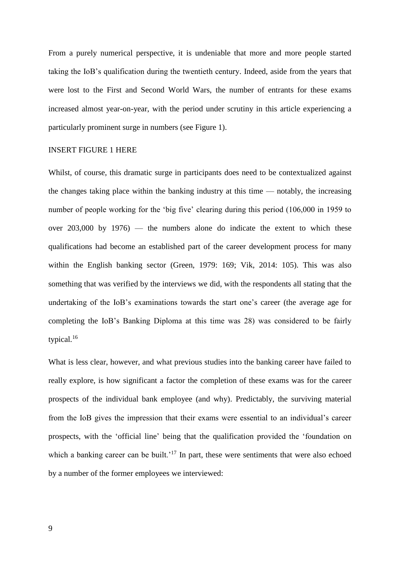From a purely numerical perspective, it is undeniable that more and more people started taking the IoB's qualification during the twentieth century. Indeed, aside from the years that were lost to the First and Second World Wars, the number of entrants for these exams increased almost year-on-year, with the period under scrutiny in this article experiencing a particularly prominent surge in numbers (see Figure 1).

#### INSERT FIGURE 1 HERE

Whilst, of course, this dramatic surge in participants does need to be contextualized against the changes taking place within the banking industry at this time — notably, the increasing number of people working for the 'big five' clearing during this period (106,000 in 1959 to over  $203,000$  by  $1976$  — the numbers alone do indicate the extent to which these qualifications had become an established part of the career development process for many within the English banking sector (Green, 1979: 169; Vik, 2014: 105). This was also something that was verified by the interviews we did, with the respondents all stating that the undertaking of the IoB's examinations towards the start one's career (the average age for completing the IoB's Banking Diploma at this time was 28) was considered to be fairly typical. $16$ 

What is less clear, however, and what previous studies into the banking career have failed to really explore, is how significant a factor the completion of these exams was for the career prospects of the individual bank employee (and why). Predictably, the surviving material from the IoB gives the impression that their exams were essential to an individual's career prospects, with the 'official line' being that the qualification provided the 'foundation on which a banking career can be built.'<sup>17</sup> In part, these were sentiments that were also echoed by a number of the former employees we interviewed: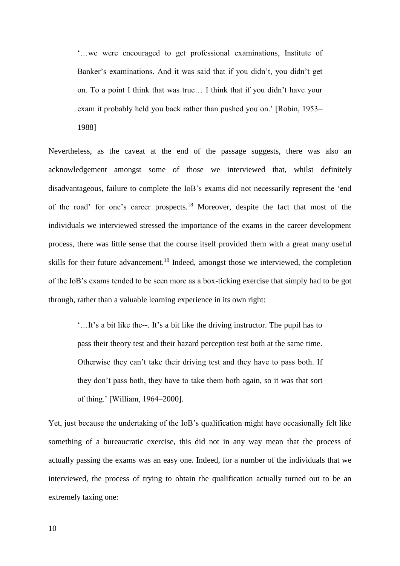'…we were encouraged to get professional examinations, Institute of Banker's examinations. And it was said that if you didn't, you didn't get on. To a point I think that was true… I think that if you didn't have your exam it probably held you back rather than pushed you on.' [Robin, 1953–

1988]

Nevertheless, as the caveat at the end of the passage suggests, there was also an acknowledgement amongst some of those we interviewed that, whilst definitely disadvantageous, failure to complete the IoB's exams did not necessarily represent the 'end of the road' for one's career prospects.<sup>18</sup> Moreover, despite the fact that most of the individuals we interviewed stressed the importance of the exams in the career development process, there was little sense that the course itself provided them with a great many useful skills for their future advancement.<sup>19</sup> Indeed, amongst those we interviewed, the completion of the IoB's exams tended to be seen more as a box-ticking exercise that simply had to be got through, rather than a valuable learning experience in its own right:

'…It's a bit like the--. It's a bit like the driving instructor. The pupil has to pass their theory test and their hazard perception test both at the same time. Otherwise they can't take their driving test and they have to pass both. If they don't pass both, they have to take them both again, so it was that sort of thing.' [William, 1964–2000].

Yet, just because the undertaking of the IoB's qualification might have occasionally felt like something of a bureaucratic exercise, this did not in any way mean that the process of actually passing the exams was an easy one. Indeed, for a number of the individuals that we interviewed, the process of trying to obtain the qualification actually turned out to be an extremely taxing one:

10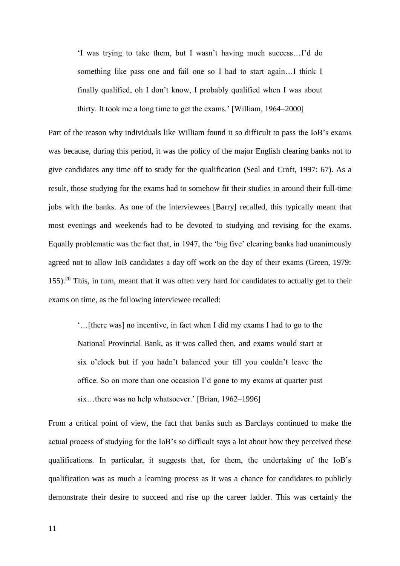'I was trying to take them, but I wasn't having much success…I'd do something like pass one and fail one so I had to start again…I think I finally qualified, oh I don't know, I probably qualified when I was about thirty. It took me a long time to get the exams.' [William, 1964–2000]

Part of the reason why individuals like William found it so difficult to pass the IoB's exams was because, during this period, it was the policy of the major English clearing banks not to give candidates any time off to study for the qualification (Seal and Croft, 1997: 67). As a result, those studying for the exams had to somehow fit their studies in around their full-time jobs with the banks. As one of the interviewees [Barry] recalled, this typically meant that most evenings and weekends had to be devoted to studying and revising for the exams. Equally problematic was the fact that, in 1947, the 'big five' clearing banks had unanimously agreed not to allow IoB candidates a day off work on the day of their exams (Green, 1979:  $155)$ .<sup>20</sup> This, in turn, meant that it was often very hard for candidates to actually get to their exams on time, as the following interviewee recalled:

'…[there was] no incentive, in fact when I did my exams I had to go to the National Provincial Bank, as it was called then, and exams would start at six o'clock but if you hadn't balanced your till you couldn't leave the office. So on more than one occasion I'd gone to my exams at quarter past six…there was no help whatsoever.' [Brian, 1962–1996]

From a critical point of view, the fact that banks such as Barclays continued to make the actual process of studying for the IoB's so difficult says a lot about how they perceived these qualifications. In particular, it suggests that, for them, the undertaking of the IoB's qualification was as much a learning process as it was a chance for candidates to publicly demonstrate their desire to succeed and rise up the career ladder. This was certainly the

11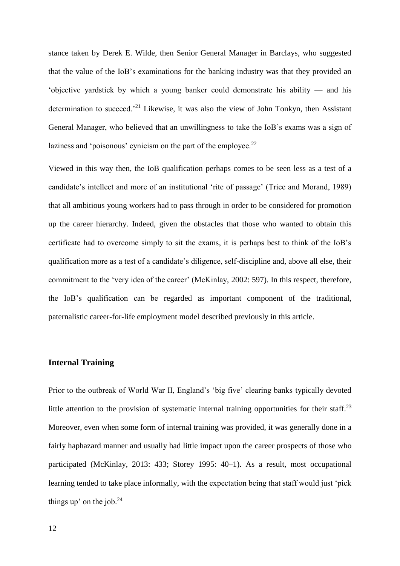stance taken by Derek E. Wilde, then Senior General Manager in Barclays, who suggested that the value of the IoB's examinations for the banking industry was that they provided an 'objective yardstick by which a young banker could demonstrate his ability — and his determination to succeed.<sup>21</sup> Likewise, it was also the view of John Tonkyn, then Assistant General Manager, who believed that an unwillingness to take the IoB's exams was a sign of laziness and 'poisonous' cynicism on the part of the employee. $2<sup>2</sup>$ 

Viewed in this way then, the IoB qualification perhaps comes to be seen less as a test of a candidate's intellect and more of an institutional 'rite of passage' (Trice and Morand, 1989) that all ambitious young workers had to pass through in order to be considered for promotion up the career hierarchy. Indeed, given the obstacles that those who wanted to obtain this certificate had to overcome simply to sit the exams, it is perhaps best to think of the IoB's qualification more as a test of a candidate's diligence, self-discipline and, above all else, their commitment to the 'very idea of the career' (McKinlay, 2002: 597). In this respect, therefore, the IoB's qualification can be regarded as important component of the traditional, paternalistic career-for-life employment model described previously in this article.

## **Internal Training**

Prior to the outbreak of World War II, England's 'big five' clearing banks typically devoted little attention to the provision of systematic internal training opportunities for their staff.<sup>23</sup> Moreover, even when some form of internal training was provided, it was generally done in a fairly haphazard manner and usually had little impact upon the career prospects of those who participated (McKinlay, 2013: 433; Storey 1995: 40–1). As a result, most occupational learning tended to take place informally, with the expectation being that staff would just 'pick things up' on the job. $24$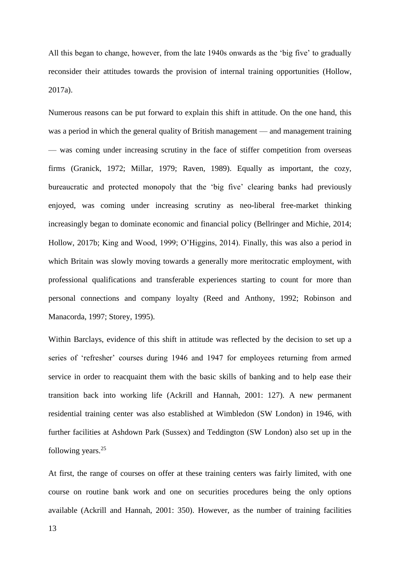All this began to change, however, from the late 1940s onwards as the 'big five' to gradually reconsider their attitudes towards the provision of internal training opportunities (Hollow, 2017a).

Numerous reasons can be put forward to explain this shift in attitude. On the one hand, this was a period in which the general quality of British management — and management training — was coming under increasing scrutiny in the face of stiffer competition from overseas firms (Granick, 1972; Millar, 1979; Raven, 1989). Equally as important, the cozy, bureaucratic and protected monopoly that the 'big five' clearing banks had previously enjoyed, was coming under increasing scrutiny as neo-liberal free-market thinking increasingly began to dominate economic and financial policy (Bellringer and Michie, 2014; Hollow, 2017b; King and Wood, 1999; O'Higgins, 2014). Finally, this was also a period in which Britain was slowly moving towards a generally more meritocratic employment, with professional qualifications and transferable experiences starting to count for more than personal connections and company loyalty (Reed and Anthony, 1992; Robinson and Manacorda, 1997; Storey, 1995).

Within Barclays, evidence of this shift in attitude was reflected by the decision to set up a series of 'refresher' courses during 1946 and 1947 for employees returning from armed service in order to reacquaint them with the basic skills of banking and to help ease their transition back into working life (Ackrill and Hannah, 2001: 127). A new permanent residential training center was also established at Wimbledon (SW London) in 1946, with further facilities at Ashdown Park (Sussex) and Teddington (SW London) also set up in the following years.<sup>25</sup>

At first, the range of courses on offer at these training centers was fairly limited, with one course on routine bank work and one on securities procedures being the only options available (Ackrill and Hannah, 2001: 350). However, as the number of training facilities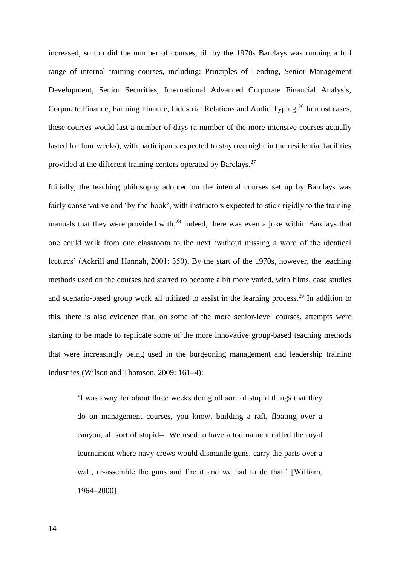increased, so too did the number of courses, till by the 1970s Barclays was running a full range of internal training courses, including: Principles of Lending, Senior Management Development, Senior Securities, International Advanced Corporate Financial Analysis, Corporate Finance, Farming Finance, Industrial Relations and Audio Typing.<sup>26</sup> In most cases, these courses would last a number of days (a number of the more intensive courses actually lasted for four weeks), with participants expected to stay overnight in the residential facilities provided at the different training centers operated by Barclays.<sup>27</sup>

Initially, the teaching philosophy adopted on the internal courses set up by Barclays was fairly conservative and 'by-the-book', with instructors expected to stick rigidly to the training manuals that they were provided with.<sup>28</sup> Indeed, there was even a joke within Barclays that one could walk from one classroom to the next 'without missing a word of the identical lectures' (Ackrill and Hannah, 2001: 350). By the start of the 1970s, however, the teaching methods used on the courses had started to become a bit more varied, with films, case studies and scenario-based group work all utilized to assist in the learning process.<sup>29</sup> In addition to this, there is also evidence that, on some of the more senior-level courses, attempts were starting to be made to replicate some of the more innovative group-based teaching methods that were increasingly being used in the burgeoning management and leadership training industries (Wilson and Thomson, 2009: 161–4):

'I was away for about three weeks doing all sort of stupid things that they do on management courses, you know, building a raft, floating over a canyon, all sort of stupid--. We used to have a tournament called the royal tournament where navy crews would dismantle guns, carry the parts over a wall, re-assemble the guns and fire it and we had to do that.' [William, 1964–2000]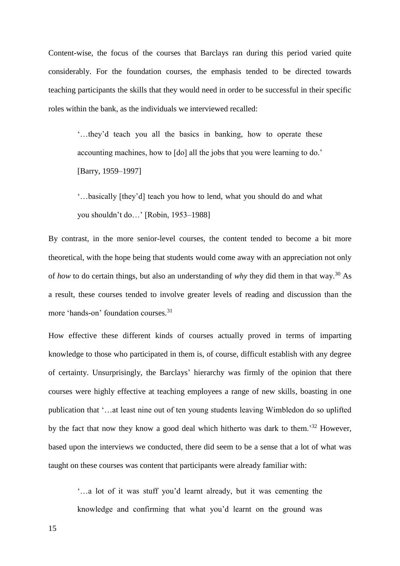Content-wise, the focus of the courses that Barclays ran during this period varied quite considerably. For the foundation courses, the emphasis tended to be directed towards teaching participants the skills that they would need in order to be successful in their specific roles within the bank, as the individuals we interviewed recalled:

'…they'd teach you all the basics in banking, how to operate these accounting machines, how to [do] all the jobs that you were learning to do.' [Barry, 1959–1997]

'…basically [they'd] teach you how to lend, what you should do and what you shouldn't do…' [Robin, 1953–1988]

By contrast, in the more senior-level courses, the content tended to become a bit more theoretical, with the hope being that students would come away with an appreciation not only of *how* to do certain things, but also an understanding of *why* they did them in that way.<sup>30</sup> As a result, these courses tended to involve greater levels of reading and discussion than the more 'hands-on' foundation courses.<sup>31</sup>

How effective these different kinds of courses actually proved in terms of imparting knowledge to those who participated in them is, of course, difficult establish with any degree of certainty. Unsurprisingly, the Barclays' hierarchy was firmly of the opinion that there courses were highly effective at teaching employees a range of new skills, boasting in one publication that '…at least nine out of ten young students leaving Wimbledon do so uplifted by the fact that now they know a good deal which hitherto was dark to them.<sup>32</sup> However, based upon the interviews we conducted, there did seem to be a sense that a lot of what was taught on these courses was content that participants were already familiar with:

'…a lot of it was stuff you'd learnt already, but it was cementing the knowledge and confirming that what you'd learnt on the ground was

15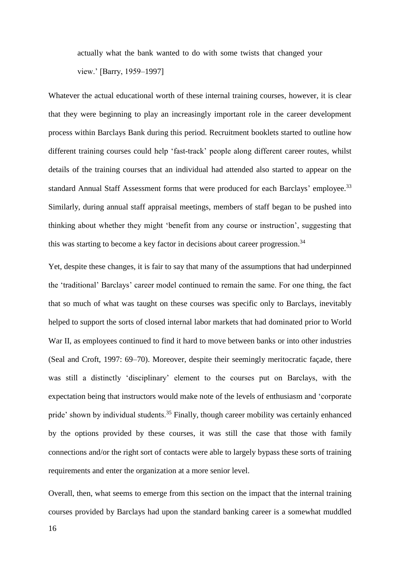actually what the bank wanted to do with some twists that changed your view.' [Barry, 1959–1997]

Whatever the actual educational worth of these internal training courses, however, it is clear that they were beginning to play an increasingly important role in the career development process within Barclays Bank during this period. Recruitment booklets started to outline how different training courses could help 'fast-track' people along different career routes, whilst details of the training courses that an individual had attended also started to appear on the standard Annual Staff Assessment forms that were produced for each Barclays' employee.<sup>33</sup> Similarly, during annual staff appraisal meetings, members of staff began to be pushed into thinking about whether they might 'benefit from any course or instruction', suggesting that this was starting to become a key factor in decisions about career progression.<sup>34</sup>

Yet, despite these changes, it is fair to say that many of the assumptions that had underpinned the 'traditional' Barclays' career model continued to remain the same. For one thing, the fact that so much of what was taught on these courses was specific only to Barclays, inevitably helped to support the sorts of closed internal labor markets that had dominated prior to World War II, as employees continued to find it hard to move between banks or into other industries (Seal and Croft, 1997: 69–70). Moreover, despite their seemingly meritocratic façade, there was still a distinctly 'disciplinary' element to the courses put on Barclays, with the expectation being that instructors would make note of the levels of enthusiasm and 'corporate pride' shown by individual students.<sup>35</sup> Finally, though career mobility was certainly enhanced by the options provided by these courses, it was still the case that those with family connections and/or the right sort of contacts were able to largely bypass these sorts of training requirements and enter the organization at a more senior level.

Overall, then, what seems to emerge from this section on the impact that the internal training courses provided by Barclays had upon the standard banking career is a somewhat muddled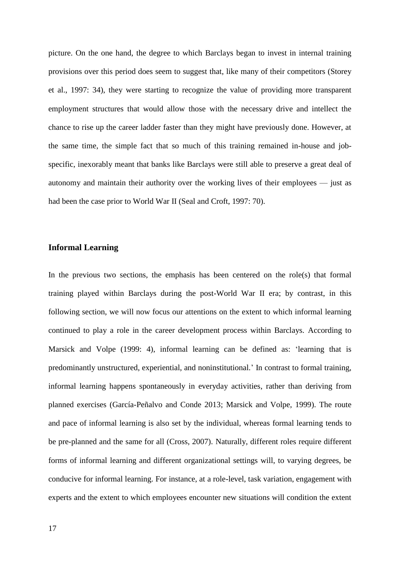picture. On the one hand, the degree to which Barclays began to invest in internal training provisions over this period does seem to suggest that, like many of their competitors (Storey et al., 1997: 34), they were starting to recognize the value of providing more transparent employment structures that would allow those with the necessary drive and intellect the chance to rise up the career ladder faster than they might have previously done. However, at the same time, the simple fact that so much of this training remained in-house and jobspecific, inexorably meant that banks like Barclays were still able to preserve a great deal of autonomy and maintain their authority over the working lives of their employees — just as had been the case prior to World War II (Seal and Croft, 1997: 70).

## **Informal Learning**

In the previous two sections, the emphasis has been centered on the role(s) that formal training played within Barclays during the post-World War II era; by contrast, in this following section, we will now focus our attentions on the extent to which informal learning continued to play a role in the career development process within Barclays. According to Marsick and Volpe (1999: 4), informal learning can be defined as: 'learning that is predominantly unstructured, experiential, and noninstitutional.' In contrast to formal training, informal learning happens spontaneously in everyday activities, rather than deriving from planned exercises (García-Peñalvo and Conde 2013; Marsick and Volpe, 1999). The route and pace of informal learning is also set by the individual, whereas formal learning tends to be pre-planned and the same for all (Cross, 2007). Naturally, different roles require different forms of informal learning and different organizational settings will, to varying degrees, be conducive for informal learning. For instance, at a role-level, task variation, engagement with experts and the extent to which employees encounter new situations will condition the extent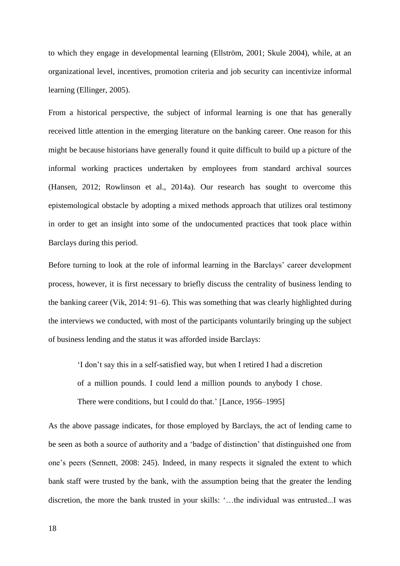to which they engage in developmental learning (Ellström, 2001; Skule 2004), while, at an organizational level, incentives, promotion criteria and job security can incentivize informal learning (Ellinger, 2005).

From a historical perspective, the subject of informal learning is one that has generally received little attention in the emerging literature on the banking career. One reason for this might be because historians have generally found it quite difficult to build up a picture of the informal working practices undertaken by employees from standard archival sources (Hansen, 2012; Rowlinson et al., 2014a). Our research has sought to overcome this epistemological obstacle by adopting a mixed methods approach that utilizes oral testimony in order to get an insight into some of the undocumented practices that took place within Barclays during this period.

Before turning to look at the role of informal learning in the Barclays' career development process, however, it is first necessary to briefly discuss the centrality of business lending to the banking career (Vik, 2014: 91–6). This was something that was clearly highlighted during the interviews we conducted, with most of the participants voluntarily bringing up the subject of business lending and the status it was afforded inside Barclays:

'I don't say this in a self-satisfied way, but when I retired I had a discretion of a million pounds. I could lend a million pounds to anybody I chose. There were conditions, but I could do that.' [Lance, 1956–1995]

As the above passage indicates, for those employed by Barclays, the act of lending came to be seen as both a source of authority and a 'badge of distinction' that distinguished one from one's peers (Sennett, 2008: 245). Indeed, in many respects it signaled the extent to which bank staff were trusted by the bank, with the assumption being that the greater the lending discretion, the more the bank trusted in your skills: '…the individual was entrusted...I was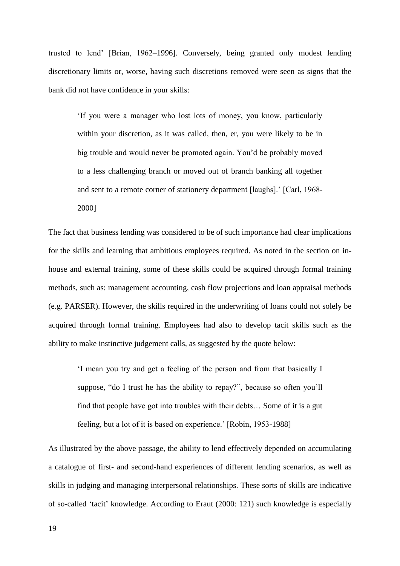trusted to lend' [Brian, 1962–1996]. Conversely, being granted only modest lending discretionary limits or, worse, having such discretions removed were seen as signs that the bank did not have confidence in your skills:

'If you were a manager who lost lots of money, you know, particularly within your discretion, as it was called, then, er, you were likely to be in big trouble and would never be promoted again. You'd be probably moved to a less challenging branch or moved out of branch banking all together and sent to a remote corner of stationery department [laughs].' [Carl, 1968- 2000]

The fact that business lending was considered to be of such importance had clear implications for the skills and learning that ambitious employees required. As noted in the section on inhouse and external training, some of these skills could be acquired through formal training methods, such as: management accounting, cash flow projections and loan appraisal methods (e.g. PARSER). However, the skills required in the underwriting of loans could not solely be acquired through formal training. Employees had also to develop tacit skills such as the ability to make instinctive judgement calls, as suggested by the quote below:

'I mean you try and get a feeling of the person and from that basically I suppose, "do I trust he has the ability to repay?", because so often you'll find that people have got into troubles with their debts… Some of it is a gut feeling, but a lot of it is based on experience.' [Robin, 1953-1988]

As illustrated by the above passage, the ability to lend effectively depended on accumulating a catalogue of first- and second-hand experiences of different lending scenarios, as well as skills in judging and managing interpersonal relationships. These sorts of skills are indicative of so-called 'tacit' knowledge. According to Eraut (2000: 121) such knowledge is especially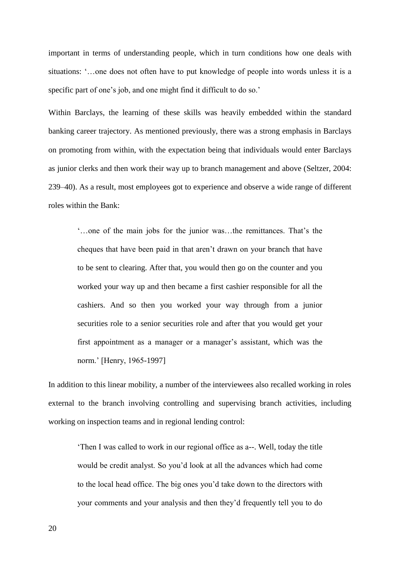important in terms of understanding people, which in turn conditions how one deals with situations: '…one does not often have to put knowledge of people into words unless it is a specific part of one's job, and one might find it difficult to do so.'

Within Barclays, the learning of these skills was heavily embedded within the standard banking career trajectory. As mentioned previously, there was a strong emphasis in Barclays on promoting from within, with the expectation being that individuals would enter Barclays as junior clerks and then work their way up to branch management and above (Seltzer, 2004: 239–40). As a result, most employees got to experience and observe a wide range of different roles within the Bank:

'…one of the main jobs for the junior was…the remittances. That's the cheques that have been paid in that aren't drawn on your branch that have to be sent to clearing. After that, you would then go on the counter and you worked your way up and then became a first cashier responsible for all the cashiers. And so then you worked your way through from a junior securities role to a senior securities role and after that you would get your first appointment as a manager or a manager's assistant, which was the norm.' [Henry, 1965-1997]

In addition to this linear mobility, a number of the interviewees also recalled working in roles external to the branch involving controlling and supervising branch activities, including working on inspection teams and in regional lending control:

'Then I was called to work in our regional office as a--. Well, today the title would be credit analyst. So you'd look at all the advances which had come to the local head office. The big ones you'd take down to the directors with your comments and your analysis and then they'd frequently tell you to do

20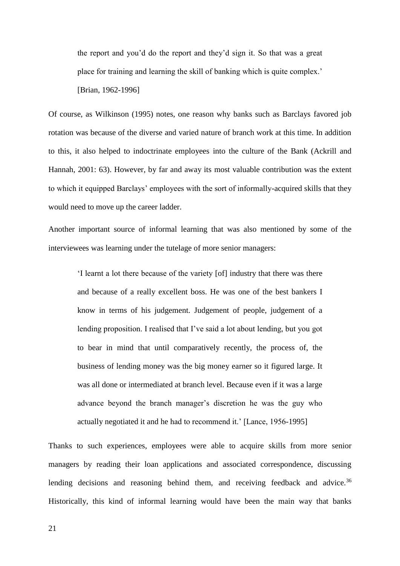the report and you'd do the report and they'd sign it. So that was a great place for training and learning the skill of banking which is quite complex.'

[Brian, 1962-1996]

Of course, as Wilkinson (1995) notes, one reason why banks such as Barclays favored job rotation was because of the diverse and varied nature of branch work at this time. In addition to this, it also helped to indoctrinate employees into the culture of the Bank (Ackrill and Hannah, 2001: 63). However, by far and away its most valuable contribution was the extent to which it equipped Barclays' employees with the sort of informally-acquired skills that they would need to move up the career ladder.

Another important source of informal learning that was also mentioned by some of the interviewees was learning under the tutelage of more senior managers:

'I learnt a lot there because of the variety [of] industry that there was there and because of a really excellent boss. He was one of the best bankers I know in terms of his judgement. Judgement of people, judgement of a lending proposition. I realised that I've said a lot about lending, but you got to bear in mind that until comparatively recently, the process of, the business of lending money was the big money earner so it figured large. It was all done or intermediated at branch level. Because even if it was a large advance beyond the branch manager's discretion he was the guy who actually negotiated it and he had to recommend it.' [Lance, 1956-1995]

Thanks to such experiences, employees were able to acquire skills from more senior managers by reading their loan applications and associated correspondence, discussing lending decisions and reasoning behind them, and receiving feedback and advice.<sup>36</sup> Historically, this kind of informal learning would have been the main way that banks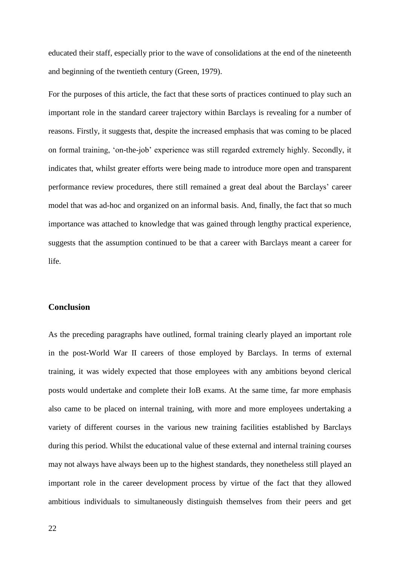educated their staff, especially prior to the wave of consolidations at the end of the nineteenth and beginning of the twentieth century (Green, 1979).

For the purposes of this article, the fact that these sorts of practices continued to play such an important role in the standard career trajectory within Barclays is revealing for a number of reasons. Firstly, it suggests that, despite the increased emphasis that was coming to be placed on formal training, 'on-the-job' experience was still regarded extremely highly. Secondly, it indicates that, whilst greater efforts were being made to introduce more open and transparent performance review procedures, there still remained a great deal about the Barclays' career model that was ad-hoc and organized on an informal basis. And, finally, the fact that so much importance was attached to knowledge that was gained through lengthy practical experience, suggests that the assumption continued to be that a career with Barclays meant a career for life.

# **Conclusion**

As the preceding paragraphs have outlined, formal training clearly played an important role in the post-World War II careers of those employed by Barclays. In terms of external training, it was widely expected that those employees with any ambitions beyond clerical posts would undertake and complete their IoB exams. At the same time, far more emphasis also came to be placed on internal training, with more and more employees undertaking a variety of different courses in the various new training facilities established by Barclays during this period. Whilst the educational value of these external and internal training courses may not always have always been up to the highest standards, they nonetheless still played an important role in the career development process by virtue of the fact that they allowed ambitious individuals to simultaneously distinguish themselves from their peers and get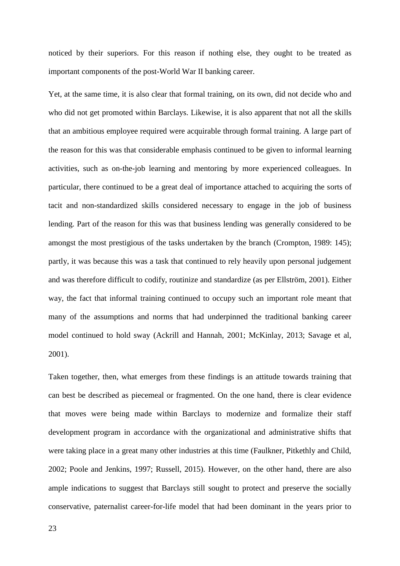noticed by their superiors. For this reason if nothing else, they ought to be treated as important components of the post-World War II banking career.

Yet, at the same time, it is also clear that formal training, on its own, did not decide who and who did not get promoted within Barclays. Likewise, it is also apparent that not all the skills that an ambitious employee required were acquirable through formal training. A large part of the reason for this was that considerable emphasis continued to be given to informal learning activities, such as on-the-job learning and mentoring by more experienced colleagues. In particular, there continued to be a great deal of importance attached to acquiring the sorts of tacit and non-standardized skills considered necessary to engage in the job of business lending. Part of the reason for this was that business lending was generally considered to be amongst the most prestigious of the tasks undertaken by the branch (Crompton, 1989: 145); partly, it was because this was a task that continued to rely heavily upon personal judgement and was therefore difficult to codify, routinize and standardize (as per Ellström, 2001). Either way, the fact that informal training continued to occupy such an important role meant that many of the assumptions and norms that had underpinned the traditional banking career model continued to hold sway (Ackrill and Hannah, 2001; McKinlay, 2013; Savage et al, 2001).

Taken together, then, what emerges from these findings is an attitude towards training that can best be described as piecemeal or fragmented. On the one hand, there is clear evidence that moves were being made within Barclays to modernize and formalize their staff development program in accordance with the organizational and administrative shifts that were taking place in a great many other industries at this time (Faulkner, Pitkethly and Child, 2002; Poole and Jenkins, 1997; Russell, 2015). However, on the other hand, there are also ample indications to suggest that Barclays still sought to protect and preserve the socially conservative, paternalist career-for-life model that had been dominant in the years prior to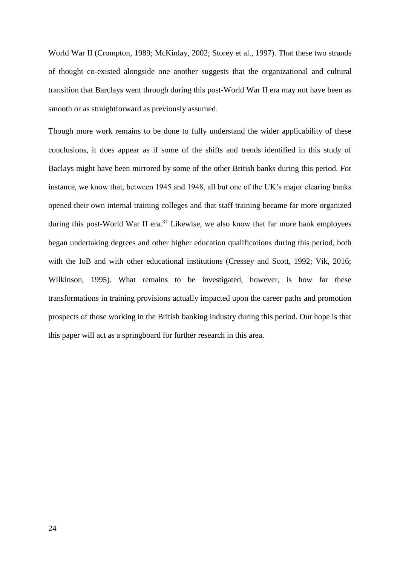World War II (Crompton, 1989; McKinlay, 2002; Storey et al., 1997). That these two strands of thought co-existed alongside one another suggests that the organizational and cultural transition that Barclays went through during this post-World War II era may not have been as smooth or as straightforward as previously assumed.

Though more work remains to be done to fully understand the wider applicability of these conclusions, it does appear as if some of the shifts and trends identified in this study of Baclays might have been mirrored by some of the other British banks during this period. For instance, we know that, between 1945 and 1948, all but one of the UK's major clearing banks opened their own internal training colleges and that staff training became far more organized during this post-World War II era.<sup>37</sup> Likewise, we also know that far more bank employees began undertaking degrees and other higher education qualifications during this period, both with the IoB and with other educational institutions (Cressey and Scott, 1992; Vik, 2016; Wilkinson, 1995). What remains to be investigated, however, is how far these transformations in training provisions actually impacted upon the career paths and promotion prospects of those working in the British banking industry during this period. Our hope is that this paper will act as a springboard for further research in this area.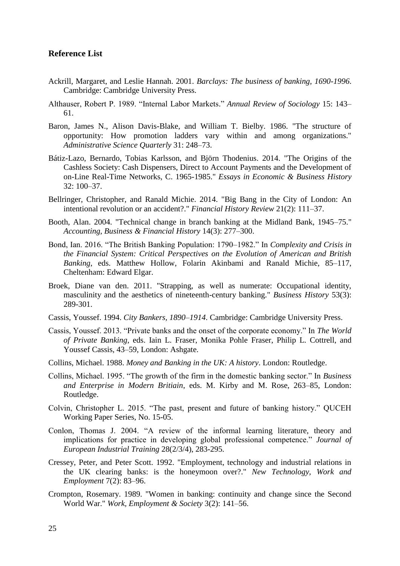# **Reference List**

- Ackrill, Margaret, and Leslie Hannah. 2001. *Barclays: The business of banking, 1690-1996*. Cambridge: Cambridge University Press.
- Althauser, Robert P. 1989. "Internal Labor Markets." *Annual Review of Sociology* 15: 143– 61.
- Baron, James N., Alison Davis-Blake, and William T. Bielby. 1986. "The structure of opportunity: How promotion ladders vary within and among organizations." *Administrative Science Quarterly* 31: 248–73.
- Bátiz-Lazo, Bernardo, Tobias Karlsson, and Björn Thodenius. 2014. "The Origins of the Cashless Society: Cash Dispensers, Direct to Account Payments and the Development of on-Line Real-Time Networks, C. 1965-1985." *Essays in Economic & Business History* 32: 100–37.
- Bellringer, Christopher, and Ranald Michie. 2014. "Big Bang in the City of London: An intentional revolution or an accident?." *Financial History Review* 21(2): 111–37.
- Booth, Alan. 2004. "Technical change in branch banking at the Midland Bank, 1945–75." *Accounting, Business & Financial History* 14(3): 277–300.
- Bond, Ian. 2016. "The British Banking Population: 1790–1982." In *Complexity and Crisis in the Financial System: Critical Perspectives on the Evolution of American and British Banking*, eds. Matthew Hollow, Folarin Akinbami and Ranald Michie, 85–117, Cheltenham: Edward Elgar.
- Broek, Diane van den. 2011. "Strapping, as well as numerate: Occupational identity, masculinity and the aesthetics of nineteenth-century banking." *Business History* 53(3): 289-301.
- Cassis, Youssef. 1994. *City Bankers, 1890–1914*. Cambridge: Cambridge University Press.
- Cassis, Youssef. 2013. "Private banks and the onset of the corporate economy." In *The World of Private Banking*, eds. Iain L. Fraser, Monika Pohle Fraser, Philip L. Cottrell, and Youssef Cassis, 43–59, London: Ashgate.
- Collins, Michael. 1988. *Money and Banking in the UK: A history*. London: Routledge.
- Collins, Michael. 1995. "The growth of the firm in the domestic banking sector." In *Business and Enterprise in Modern Britiain*, eds. M. Kirby and M. Rose, 263–85, London: Routledge.
- Colvin, Christopher L. 2015. "The past, present and future of banking history." QUCEH Working Paper Series, No. 15-05.
- Conlon, Thomas J. 2004. "A review of the informal learning literature, theory and implications for practice in developing global professional competence." *Journal of European Industrial Training* 28(2/3/4), 283-295.
- Cressey, Peter, and Peter Scott. 1992. "Employment, technology and industrial relations in the UK clearing banks: is the honeymoon over?." *New Technology, Work and Employment* 7(2): 83–96.
- Crompton, Rosemary. 1989. "Women in banking: continuity and change since the Second World War." *Work, Employment & Society* 3(2): 141–56.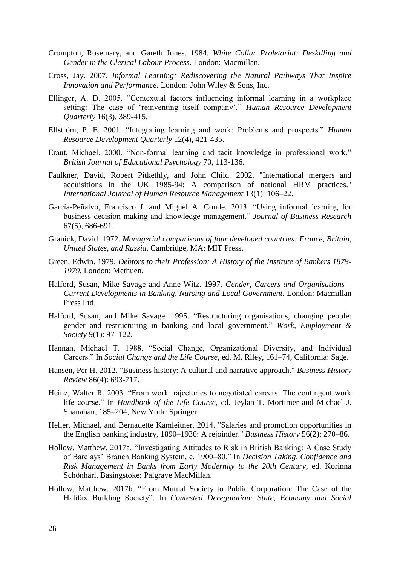- Crompton, Rosemary, and Gareth Jones. 1984. *White Collar Proletariat: Deskilling and Gender in the Clerical Labour Process*. London: Macmillan.
- Cross, Jay. 2007. *Informal Learning: Rediscovering the Natural Pathways That Inspire Innovation and Performance.* London: John Wiley & Sons, Inc.
- Ellinger, A. D. 2005. "Contextual factors influencing informal learning in a workplace setting: The case of 'reinventing itself company'." *Human Resource Development Quarterly* 16(3), 389-415.
- Ellström, P. E. 2001. "Integrating learning and work: Problems and prospects." *Human Resource Development Quarterly* 12(4), 421-435.
- Eraut, Michael. 2000. "Non-formal learning and tacit knowledge in professional work." *British Journal of Educational Psychology* 70, 113-136.
- Faulkner, David, Robert Pitkethly, and John Child. 2002. "International mergers and acquisitions in the UK 1985-94: A comparison of national HRM practices." *International Journal of Human Resource Management* 13(1): 106–22.
- García-Peñalvo, Francisco J. and Miguel A. Conde. 2013. "Using informal learning for business decision making and knowledge management." *Journal of Business Research* 67(5), 686-691.
- Granick, David. 1972. *Managerial comparisons of four developed countries: France, Britain, United States, and Russia*. Cambridge, MA: MIT Press.
- Green, Edwin. 1979. *Debtors to their Profession: A History of the Institute of Bankers 1879- 1979*. London: Methuen.
- Halford, Susan, Mike Savage and Anne Witz. 1997. *Gender, Careers and Organisations – Current Developments in Banking, Nursing and Local Government.* London: Macmillan Press Ltd.
- Halford, Susan, and Mike Savage. 1995. "Restructuring organisations, changing people: gender and restructuring in banking and local government." *Work, Employment & Society* 9(1): 97–122.
- Hannan, Michael T. 1988. "Social Change, Organizational Diversity, and Individual Careers." In *Social Change and the Life Course*, ed. M. Riley, 161–74, California: Sage.
- Hansen, Per H. 2012. "Business history: A cultural and narrative approach." *Business History Review* 86(4): 693-717.
- Heinz, Walter R. 2003. "From work trajectories to negotiated careers: The contingent work life course." In *Handbook of the Life Course*, ed. Jeylan T. Mortimer and Michael J. Shanahan, 185–204, New York: Springer.
- Heller, Michael, and Bernadette Kamleitner. 2014. "Salaries and promotion opportunities in the English banking industry, 1890–1936: A rejoinder." *Business History* 56(2): 270–86.
- Hollow, Matthew. 2017a. "Investigating Attitudes to Risk in British Banking: A Case Study of Barclays' Branch Banking System, c. 1900–80." In *Decision Taking, Confidence and Risk Management in Banks from Early Modernity to the 20th Century*, ed. Korinna Schönhärl, Basingstoke: Palgrave MacMillan.
- Hollow, Matthew. 2017b. "From Mutual Society to Public Corporation: The Case of the Halifax Building Society". In *Contested Deregulation: State, Economy and Social*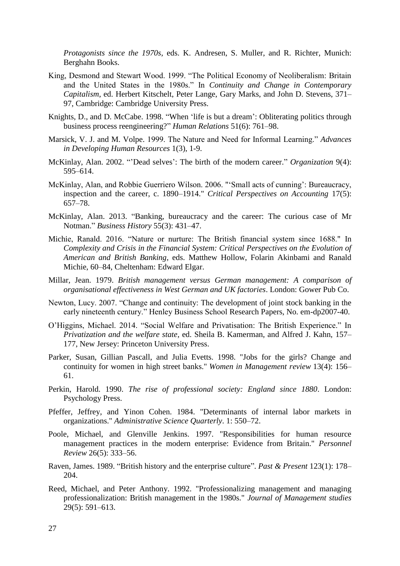*Protagonists since the 1970s*, eds. K. Andresen, S. Muller, and R. Richter, Munich: Berghahn Books.

- King, Desmond and Stewart Wood. 1999. "The Political Economy of Neoliberalism: Britain and the United States in the 1980s." In *Continuity and Change in Contemporary Capitalism*, ed. Herbert Kitschelt, Peter Lange, Gary Marks, and John D. Stevens, 371– 97, Cambridge: Cambridge University Press.
- Knights, D., and D. McCabe. 1998. "When 'life is but a dream': Obliterating politics through business process reengineering?" *Human Relations* 51(6): 761–98.
- Marsick, V. J. and M. Volpe. 1999. The Nature and Need for Informal Learning." *Advances in Developing Human Resources* 1(3), 1-9.
- McKinlay, Alan. 2002. "'Dead selves': The birth of the modern career." *Organization* 9(4): 595–614.
- McKinlay, Alan, and Robbie Guerriero Wilson. 2006. "'Small acts of cunning': Bureaucracy, inspection and the career, c. 1890–1914." *Critical Perspectives on Accounting* 17(5): 657–78.
- McKinlay, Alan. 2013. "Banking, bureaucracy and the career: The curious case of Mr Notman." *Business History* 55(3): 431–47.
- Michie, Ranald. 2016. "Nature or nurture: The British financial system since 1688." In *Complexity and Crisis in the Financial System: Critical Perspectives on the Evolution of American and British Banking*, eds. Matthew Hollow, Folarin Akinbami and Ranald Michie, 60–84, Cheltenham: Edward Elgar.
- Millar, Jean. 1979. *British management versus German management: A comparison of organisational effectiveness in West German and UK factories*. London: Gower Pub Co.
- Newton, Lucy. 2007. "Change and continuity: The development of joint stock banking in the early nineteenth century." Henley Business School Research Papers, No. em-dp2007-40.
- O'Higgins, Michael. 2014. "Social Welfare and Privatisation: The British Experience." In *Privatization and the welfare state*, ed. Sheila B. Kamerman, and Alfred J. Kahn, 157– 177, New Jersey: Princeton University Press.
- Parker, Susan, Gillian Pascall, and Julia Evetts. 1998. "Jobs for the girls? Change and continuity for women in high street banks." *Women in Management review* 13(4): 156– 61.
- Perkin, Harold. 1990. *The rise of professional society: England since 1880*. London: Psychology Press.
- Pfeffer, Jeffrey, and Yinon Cohen. 1984. "Determinants of internal labor markets in organizations." *Administrative Science Quarterly*. 1: 550–72.
- Poole, Michael, and Glenville Jenkins. 1997. "Responsibilities for human resource management practices in the modern enterprise: Evidence from Britain." *Personnel Review* 26(5): 333–56.
- Raven, James. 1989. "British history and the enterprise culture". *Past & Present* 123(1): 178– 204.
- Reed, Michael, and Peter Anthony. 1992. "Professionalizing management and managing professionalization: British management in the 1980s." *Journal of Management studies* 29(5): 591–613.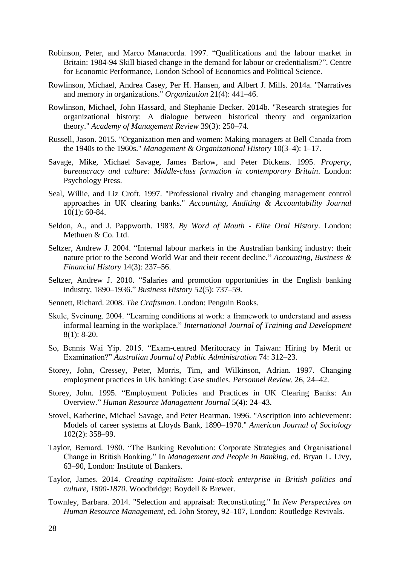- Robinson, Peter, and Marco Manacorda. 1997. "Qualifications and the labour market in Britain: 1984-94 Skill biased change in the demand for labour or credentialism?". Centre for Economic Performance, London School of Economics and Political Science.
- Rowlinson, Michael, Andrea Casey, Per H. Hansen, and Albert J. Mills. 2014a. "Narratives and memory in organizations." *Organization* 21(4): 441–46.
- Rowlinson, Michael, John Hassard, and Stephanie Decker. 2014b. "Research strategies for organizational history: A dialogue between historical theory and organization theory." *Academy of Management Review* 39(3): 250–74.
- Russell, Jason. 2015. "Organization men and women: Making managers at Bell Canada from the 1940s to the 1960s." *Management & Organizational History* 10(3–4): 1–17.
- Savage, Mike, Michael Savage, James Barlow, and Peter Dickens. 1995. *Property, bureaucracy and culture: Middle-class formation in contemporary Britain*. London: Psychology Press.
- Seal, Willie, and Liz Croft. 1997. "Professional rivalry and changing management control approaches in UK clearing banks." *Accounting, Auditing & Accountability Journal* 10(1): 60-84.
- Seldon, A., and J. Pappworth. 1983*. By Word of Mouth - Elite Oral History*. London: Methuen & Co. Ltd.
- Seltzer, Andrew J. 2004. "Internal labour markets in the Australian banking industry: their nature prior to the Second World War and their recent decline." *Accounting, Business & Financial History* 14(3): 237–56.
- Seltzer, Andrew J. 2010. "Salaries and promotion opportunities in the English banking industry, 1890–1936." *Business History* 52(5): 737–59.
- Sennett, Richard. 2008. *The Craftsman.* London: Penguin Books.
- Skule, Sveinung. 2004. "Learning conditions at work: a framework to understand and assess informal learning in the workplace." *International Journal of Training and Development* 8(1): 8-20.
- So, Bennis Wai Yip. 2015. "Exam-centred Meritocracy in Taiwan: Hiring by Merit or Examination?" *Australian Journal of Public Administration* 74: 312–23.
- Storey, John, Cressey, Peter, Morris, Tim, and Wilkinson, Adrian. 1997. Changing employment practices in UK banking: Case studies. *Personnel Review*. 26, 24–42.
- Storey, John. 1995. "Employment Policies and Practices in UK Clearing Banks: An Overview." *Human Resource Management Journal* 5(4): 24–43.
- Stovel, Katherine, Michael Savage, and Peter Bearman. 1996. "Ascription into achievement: Models of career systems at Lloyds Bank, 1890–1970." *American Journal of Sociology* 102(2): 358–99.
- Taylor, Bernard. 1980. "The Banking Revolution: Corporate Strategies and Organisational Change in British Banking." In *Management and People in Banking*, ed. Bryan L. Livy, 63–90, London: Institute of Bankers.
- Taylor, James. 2014. *Creating capitalism: Joint-stock enterprise in British politics and culture, 1800-1870*. Woodbridge: Boydell & Brewer.
- Townley, Barbara. 2014. "Selection and appraisal: Reconstituting." In *New Perspectives on Human Resource Management*, ed. John Storey, 92–107, London: Routledge Revivals.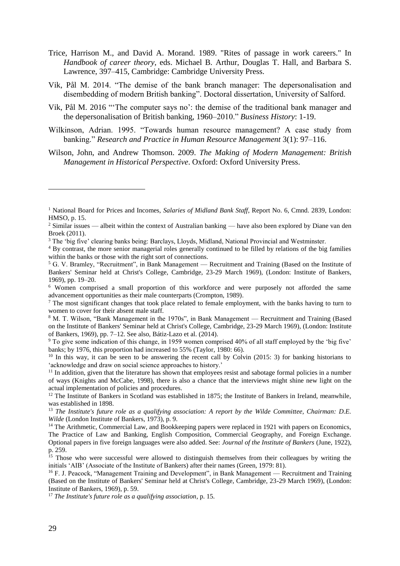- Trice, Harrison M., and David A. Morand. 1989. "Rites of passage in work careers." In *Handbook of career theory*, eds. Michael B. Arthur, Douglas T. Hall, and Barbara S. Lawrence, 397–415, Cambridge: Cambridge University Press.
- Vik, Pål M. 2014. "The demise of the bank branch manager: The depersonalisation and disembedding of modern British banking". Doctoral dissertation, University of Salford.
- Vik, Pål M. 2016 "'The computer says no': the demise of the traditional bank manager and the depersonalisation of British banking, 1960–2010." *Business History*: 1-19.
- Wilkinson, Adrian. 1995. "Towards human resource management? A case study from banking." *Research and Practice in Human Resource Management* 3(1): 97–116.
- Wilson, John, and Andrew Thomson. 2009. *The Making of Modern Management: British Management in Historical Perspective*. Oxford: Oxford University Press.

<sup>17</sup> *The Institute's future role as a qualifying association*, p. 15.

<u>.</u>

<sup>1</sup> National Board for Prices and Incomes, *Salaries of Midland Bank Staff*, Report No. 6, Cmnd. 2839, London: HMSO, p. 15.

<sup>&</sup>lt;sup>2</sup> Similar issues — albeit within the context of Australian banking — have also been explored by Diane van den Broek (2011).

<sup>3</sup> The 'big five' clearing banks being: Barclays, Lloyds, Midland, National Provincial and Westminster.

<sup>4</sup> By contrast, the more senior managerial roles generally continued to be filled by relations of the big families within the banks or those with the right sort of connections.

<sup>&</sup>lt;sup>5</sup> G. V. Bramley, "Recruitment", in Bank Management — Recruitment and Training (Based on the Institute of Bankers' Seminar held at Christ's College, Cambridge, 23-29 March 1969), (London: Institute of Bankers, 1969), pp. 19–20.

<sup>6</sup> Women comprised a small proportion of this workforce and were purposely not afforded the same advancement opportunities as their male counterparts (Crompton, 1989).

<sup>&</sup>lt;sup>7</sup> The most significant changes that took place related to female employment, with the banks having to turn to women to cover for their absent male staff.

<sup>8</sup> M. T. Wilson, "Bank Management in the 1970s", in Bank Management — Recruitment and Training (Based on the Institute of Bankers' Seminar held at Christ's College, Cambridge, 23-29 March 1969), (London: Institute of Bankers, 1969), pp. 7–12. See also, Bátiz-Lazo et al. (2014).

<sup>9</sup> To give some indication of this change, in 1959 women comprised 40% of all staff employed by the 'big five' banks; by 1976, this proportion had increased to 55% (Taylor, 1980: 66).

 $10$  In this way, it can be seen to be answering the recent call by Colvin (2015: 3) for banking historians to 'acknowledge and draw on social science approaches to history.'

<sup>&</sup>lt;sup>11</sup> In addition, given that the literature has shown that employees resist and sabotage formal policies in a number of ways (Knights and McCabe, 1998), there is also a chance that the interviews might shine new light on the actual implementation of policies and procedures.

<sup>&</sup>lt;sup>12</sup> The Institute of Bankers in Scotland was established in 1875; the Institute of Bankers in Ireland, meanwhile, was established in 1898.

<sup>&</sup>lt;sup>13</sup> *The Institute's future role as a qualifying association: A report by the Wilde Committee, Chairman: D.E. Wilde* (London Institute of Bankers, 1973), p. 9.

<sup>&</sup>lt;sup>14</sup> The Arithmetic, Commercial Law, and Bookkeeping papers were replaced in 1921 with papers on Economics, The Practice of Law and Banking, English Composition, Commercial Geography, and Foreign Exchange. Optional papers in five foreign languages were also added. See: *Journal of the Institute of Bankers* (June, 1922), p. 259.

<sup>&</sup>lt;sup>15</sup> Those who were successful were allowed to distinguish themselves from their colleagues by writing the initials 'AIB' (Associate of the Institute of Bankers) after their names (Green, 1979: 81).

<sup>16</sup> F. J. Peacock, "Management Training and Development", in Bank Management — Recruitment and Training (Based on the Institute of Bankers' Seminar held at Christ's College, Cambridge, 23-29 March 1969), (London: Institute of Bankers, 1969), p. 59.